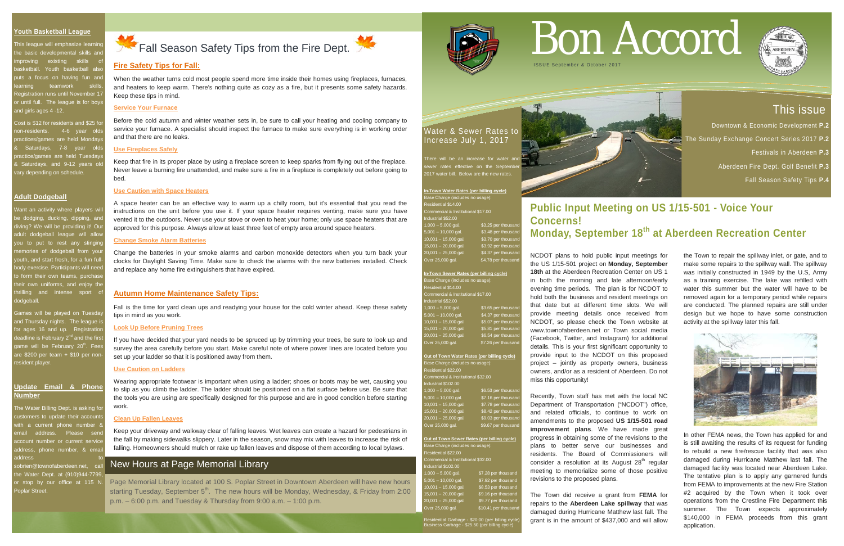

#### **Youth Basketball League**

This league will emphasize learnir ne basic developmental skills and nproving existing skills of asketball. Youth basketball als outs a focus on having fun and earning teamwork skills tion runs until November 17 r until full. The league is for boys and girls ages 4 -12.

Cost is \$12 for residents and \$25 for on-residents. 4-6 year old actices/games are held Mondays Saturdays, 7-8 year olds actice/games are held Tuesday Baturdays, and 9-12 years old vary depending on schedule.

Vant an activity where players will e dodging, ducking, dipping, and iving? We will be providing it! Our adult dodgeball league will allow ou to put to rest any stingin nemories of dodgeball from your outh, and start fresh, for a fun fullbody exercise. Participants will need o form their own teams, purchas heir own uniforms, and enjoy the thrilling and intense sport of dodgeball.

Games will be played on Tuesda and Thursday nights. The league is or ages 16 and up. Registration leadline is February 2<sup>nd</sup> and the firs game will be February 20<sup>th</sup>. Fees are  $$200$  per team  $+ $10$  per nonresident player.

#### **Adult Dodgeball**

The Water Billing Dept. is asking for ustomers to update their accounts ith a current phone number & mail address. Please sen ccount number or current service address, phone number, & ema address to

obrien@townofaberdeen.net, cal the Water Dept. at (910)944-7799, or stop by our office at 115 N. Poplar Street.

# Fall Season Safety Tips from the Fire Dept.

#### **Update Email & Phone Number**

**Out of Town Sewer Rates (per billing cycle)** ase Charge (includes no usage sidential \$22.00 nmercial & Institutional \$32.00 ustrial \$102.00  $1,000 - 5,000$  gal. \$7.28 per thousand 5,001 – 10,000 gal. \$7.92 per thousand 10,001 – 15,000 gal. \$8.53 per thousand 15,001 – 20,000 gal. \$9.16 per thousand 20,001 – 25,000 gal. \$9.77 per thousand ver 25,000 gal.  $$10.41$  per thousand

#### Water & Sewer Rates to Increase July 1, 2017



| In-Town Water Rates (per billing cycle) |                     |
|-----------------------------------------|---------------------|
| Base Charge (includes no usage):        |                     |
| Residential \$14.00                     |                     |
| Commercial & Institutional \$17.00      |                     |
| Industrial \$52.00                      |                     |
| $1,000 - 5,000$ gal.                    | \$3.25 per thousand |
| $5,001 - 10,000$ gal.                   | \$3.48 per thousand |
| $10,001 - 15,000$ gal.                  | \$3.70 per thousand |
| $15,001 - 20,000$ gal.                  | \$3.92 per thousand |
| 20,001 - 25,000 gal.                    | \$4.37 per thousand |
| Over 25,000 gal.                        | \$4.78 per thousand |

| In-Town Sewer Rates (per billing cycle) |                     |
|-----------------------------------------|---------------------|
| Base Charge (includes no usage):        |                     |
| Residential \$14.00                     |                     |
| Commercial & Institutional \$17.00      |                     |
| Industrial \$52.00                      |                     |
| $1,000 - 5,000$ gal.                    | \$3.65 per thousand |
| $5,001 - 10,000$ gal.                   | \$4.37 per thousand |
| $10,001 - 15,000$ gal.                  | \$5.07 per thousand |
| $15,001 - 20,000$ gal.                  | \$5.81 per thousand |
| 20,001 - 25,000 gal.                    | \$6.54 per thousand |
| Over 25,000 gal.                        | \$7.26 per thousand |
|                                         |                     |

#### **Out of Town Water Rates (per billing cycle)** Base Charge (includes no usage): Residential \$22.00 nmercial & Institutional \$32.00 dustrial \$102.00  $1,000 - 5,000$  gal. \$6.53 per thousand  $0.001 - 10,000$  gal. \$7.16 per thousand  $10,001 - 15,000$  gal.  $$7.78$  per thousand \$8.42 per the 20,001 – 25,000 gal. \$9.03 per thousand

Over 25,000 gal. \$9.67 per thousand

#### **Fire Safety Tips for Fall:**

When the weather turns cold most people spend more time inside their homes using fireplaces, furnaces, and heaters to keep warm. There's nothing quite as cozy as a fire, but it presents some safety hazards. Keep these tips in mind.

#### **Service Your Furnace**

Before the cold autumn and winter weather sets in, be sure to call your heating and cooling company to service your furnace. A specialist should inspect the furnace to make sure everything is in working order and that there are no leaks.

#### **Use Fireplaces Safely**

Keep that fire in its proper place by using a fireplace screen to keep sparks from flying out of the fireplace. Never leave a burning fire unattended, and make sure a fire in a fireplace is completely out before going to bed.

#### **Use Caution with Space Heaters**

A space heater can be an effective way to warm up a chilly room, but it's essential that you read the instructions on the unit before you use it. If your space heater requires venting, make sure you have vented it to the outdoors. Never use your stove or oven to heat your home; only use space heaters that are approved for this purpose. Always allow at least three feet of empty area around space heaters.

#### **Change Smoke Alarm Batteries**

Change the batteries in your smoke alarms and carbon monoxide detectors when you turn back your clocks for Daylight Saving Time. Make sure to check the alarms with the new batteries installed. Check and replace any home fire extinguishers that have expired.

#### **Autumn Home Maintenance Safety Tips:**

Fall is the time for yard clean ups and readying your house for the cold winter ahead. Keep these safety tips in mind as you work.

#### **Look Up Before Pruning Trees**

If you have decided that your yard needs to be spruced up by trimming your trees, be sure to look up and survey the area carefully before you start. Make careful note of where power lines are located before you set up your ladder so that it is positioned away from them.

#### **Use Caution on Ladders**

Wearing appropriate footwear is important when using a ladder; shoes or boots may be wet, causing you to slip as you climb the ladder. The ladder should be positioned on a flat surface before use. Be sure that the tools you are using are specifically designed for this purpose and are in good condition before starting work.

#### **Clean Up Fallen Leaves**

Keep your driveway and walkway clear of falling leaves. Wet leaves can create a hazard for pedestrians in the fall by making sidewalks slippery. Later in the season, snow may mix with leaves to increase the risk of falling. Homeowners should mulch or rake up fallen leaves and dispose of them according to local bylaws.

# Bon Accord



# **Public Input Meeting on US 1/15-501 - Voice Your**

# **Concerns!**

# **Monday, September 18th at Aberdeen Recreation Center**

NCDOT plans to hold public input meetings for the US 1/15-501 project on **Monday, September 18th** at the Aberdeen Recreation Center on US 1 in both the morning and late afternoon/early evening time periods. The plan is for NCDOT to hold both the business and resident meetings on that date but at different time slots. We will provide meeting details once received from NCDOT, so please check the Town website at www.townofaberdeen.net or Town social media (Facebook, Twitter, and Instagram) for additional details. This is your first significant opportunity to provide input to the NCDOT on this proposed project – jointly as property owners, business owners, and/or as a resident of Aberdeen. Do not miss this opportunity!

Recently, Town staff has met with the local NC Department of Transportation ("NCDOT") office, and related officials, to continue to work on amendments to the proposed **US 1/15-501 road improvement plans**. We have made great progress in obtaining some of the revisions to the plans to better serve our businesses and residents. The Board of Commissioners will consider a resolution at its August  $28<sup>th</sup>$  regular meeting to memorialize some of those positive revisions to the proposed plans.

The Town did receive a grant from **FEMA** for repairs to the **Aberdeen Lake spillway** that was damaged during Hurricane Matthew last fall. The grant is in the amount of \$437,000 and will allow the Town to repair the spillway inlet, or gate, and to make some repairs to the spillway wall. The spillway was initially constructed in 1949 by the U.S, Army as a training exercise. The lake was refilled with water this summer but the water will have to be removed again for a temporary period while repairs are conducted. The planned repairs are still under design but we hope to have some construction activity at the spillway later this fall.



In other FEMA news, the Town has applied for and is still awaiting the results of its request for funding to rebuild a new fire/rescue facility that was also damaged during Hurricane Matthew last fall. The damaged facility was located near Aberdeen Lake. The tentative plan is to apply any garnered funds from FEMA to improvements at the new Fire Station #2 acquired by the Town when it took over operations from the Crestline Fire Department this summer. The Town expects approximately \$140,000 in FEMA proceeds from this grant application.



# New Hours at Page Memorial Library

Page Memorial Library located at 100 S. Poplar Street in Downtown Aberdeen will have new hours starting Tuesday, September  $5<sup>th</sup>$ . The new hours will be Monday, Wednesday, & Friday from 2:00 p.m. – 6:00 p.m. and Tuesday & Thursday from 9:00 a.m. – 1:00 p.m.